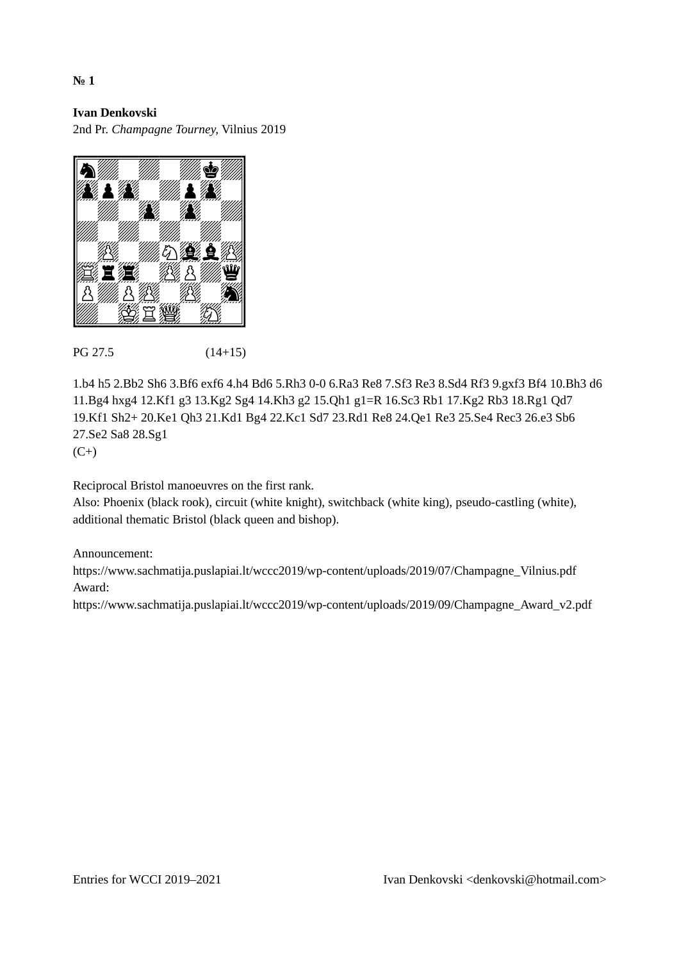2nd Pr. *Champagne Tourney,* Vilnius 2019



#### PG 27.5 (14+15)

1.b4 h5 2.Bb2 Sh6 3.Bf6 exf6 4.h4 Bd6 5.Rh3 0-0 6.Ra3 Re8 7.Sf3 Re3 8.Sd4 Rf3 9.gxf3 Bf4 10.Bh3 d6 11.Bg4 hxg4 12.Kf1 g3 13.Kg2 Sg4 14.Kh3 g2 15.Qh1 g1=R 16.Sc3 Rb1 17.Kg2 Rb3 18.Rg1 Qd7 19.Kf1 Sh2+ 20.Ke1 Qh3 21.Kd1 Bg4 22.Kc1 Sd7 23.Rd1 Re8 24.Qe1 Re3 25.Se4 Rec3 26.e3 Sb6 27.Se2 Sa8 28.Sg1

 $(C<sup>+</sup>)$ 

Reciprocal Bristol manoeuvres on the first rank.

Also: Phoenix (black rook), circuit (white knight), switchback (white king), pseudo-castling (white), additional thematic Bristol (black queen and bishop).

#### Announcement:

https://www.sachmatija.puslapiai.lt/wccc2019/wp-content/uploads/2019/07/Champagne\_Vilnius.pdf Award:

https://www.sachmatija.puslapiai.lt/wccc2019/wp-content/uploads/2019/09/Champagne\_Award\_v2.pdf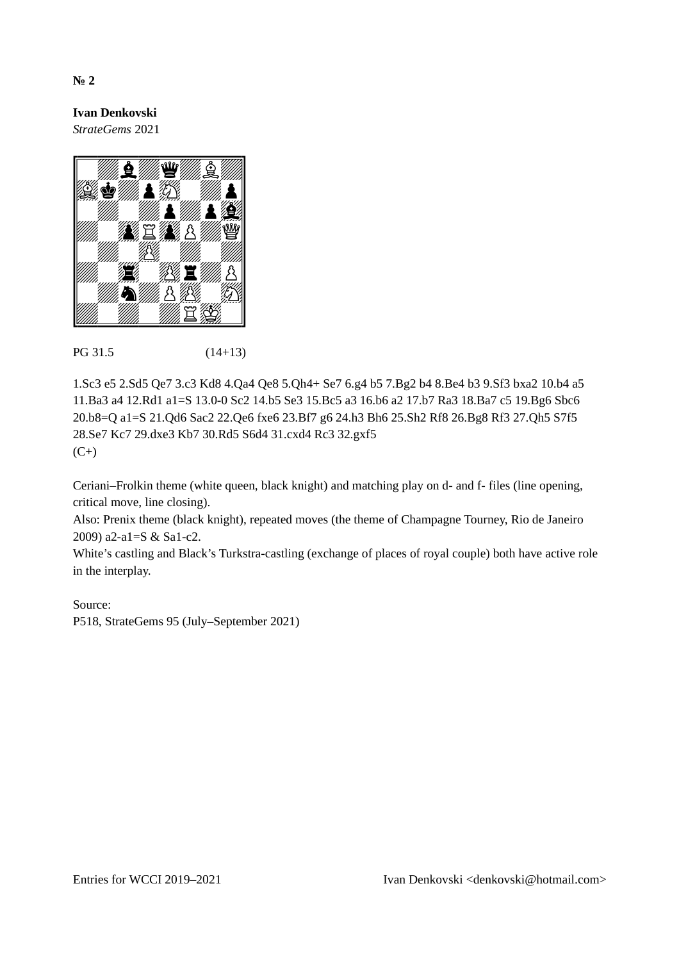**Ivan Denkovski** *StrateGems* 2021



# PG 31.5 (14+13)

1.Sc3 e5 2.Sd5 Qe7 3.c3 Kd8 4.Qa4 Qe8 5.Qh4+ Se7 6.g4 b5 7.Bg2 b4 8.Be4 b3 9.Sf3 bxa2 10.b4 a5 11.Ba3 a4 12.Rd1 a1=S 13.0-0 Sc2 14.b5 Se3 15.Bc5 a3 16.b6 a2 17.b7 Ra3 18.Ba7 c5 19.Bg6 Sbc6 20.b8=Q a1=S 21.Qd6 Sac2 22.Qe6 fxe6 23.Bf7 g6 24.h3 Bh6 25.Sh2 Rf8 26.Bg8 Rf3 27.Qh5 S7f5 28.Se7 Kc7 29.dxe3 Kb7 30.Rd5 S6d4 31.cxd4 Rc3 32.gxf5  $(C<sup>+</sup>)$ 

Ceriani–Frolkin theme (white queen, black knight) and matching play on d- and f- files (line opening, critical move, line closing).

Also: Prenix theme (black knight), repeated moves (the theme of Champagne Tourney, Rio de Janeiro 2009) a2-a1=S & Sa1-c2.

White's castling and Black's Turkstra-castling (exchange of places of royal couple) both have active role in the interplay.

#### Source:

P518, StrateGems 95 (July–September 2021)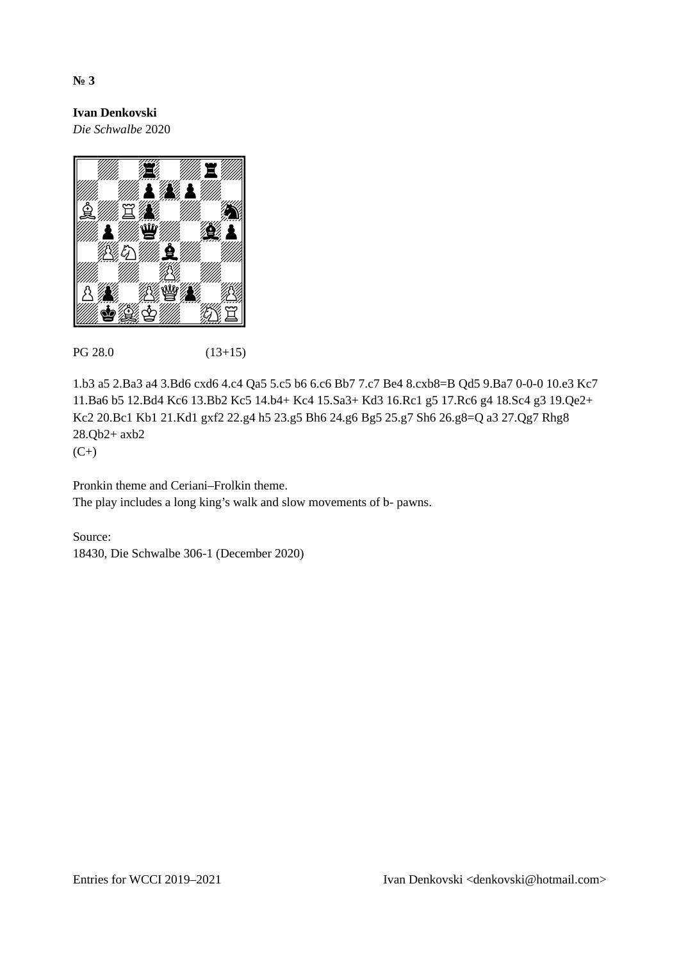*Die Schwalbe* 2020



# PG 28.0 (13+15)

1.b3 a5 2.Ba3 a4 3.Bd6 cxd6 4.c4 Qa5 5.c5 b6 6.c6 Bb7 7.c7 Be4 8.cxb8=B Qd5 9.Ba7 0-0-0 10.e3 Kc7 11.Ba6 b5 12.Bd4 Kc6 13.Bb2 Kc5 14.b4+ Kc4 15.Sa3+ Kd3 16.Rc1 g5 17.Rc6 g4 18.Sc4 g3 19.Qe2+ Kc2 20.Bc1 Kb1 21.Kd1 gxf2 22.g4 h5 23.g5 Bh6 24.g6 Bg5 25.g7 Sh6 26.g8=Q a3 27.Qg7 Rhg8 28.Qb2+ axb2

 $(C<sup>+</sup>)$ 

Pronkin theme and Ceriani–Frolkin theme. The play includes a long king's walk and slow movements of b- pawns.

Source: 18430, Die Schwalbe 306-1 (December 2020)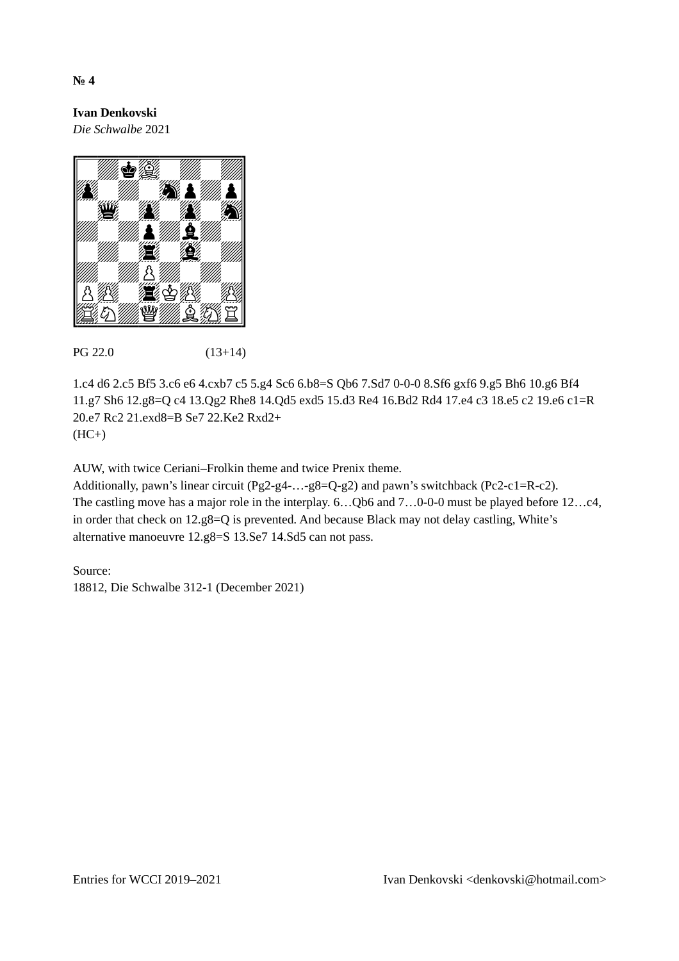**Ivan Denkovski** *Die Schwalbe* 2021



# PG 22.0 (13+14)

1.c4 d6 2.c5 Bf5 3.c6 e6 4.cxb7 c5 5.g4 Sc6 6.b8=S Qb6 7.Sd7 0-0-0 8.Sf6 gxf6 9.g5 Bh6 10.g6 Bf4 11.g7 Sh6 12.g8=Q c4 13.Qg2 Rhe8 14.Qd5 exd5 15.d3 Re4 16.Bd2 Rd4 17.e4 c3 18.e5 c2 19.e6 c1=R 20.e7 Rc2 21.exd8=B Se7 22.Ke2 Rxd2+  $(HC+)$ 

AUW, with twice Ceriani–Frolkin theme and twice Prenix theme.

Additionally, pawn's linear circuit (Pg2-g4-…-g8=Q-g2) and pawn's switchback (Pc2-c1=R-c2). The castling move has a major role in the interplay. 6…Qb6 and 7…0-0-0 must be played before 12…c4, in order that check on 12.g8=Q is prevented. And because Black may not delay castling, White's alternative manoeuvre 12.g8=S 13.Se7 14.Sd5 can not pass.

Source:

18812, Die Schwalbe 312-1 (December 2021)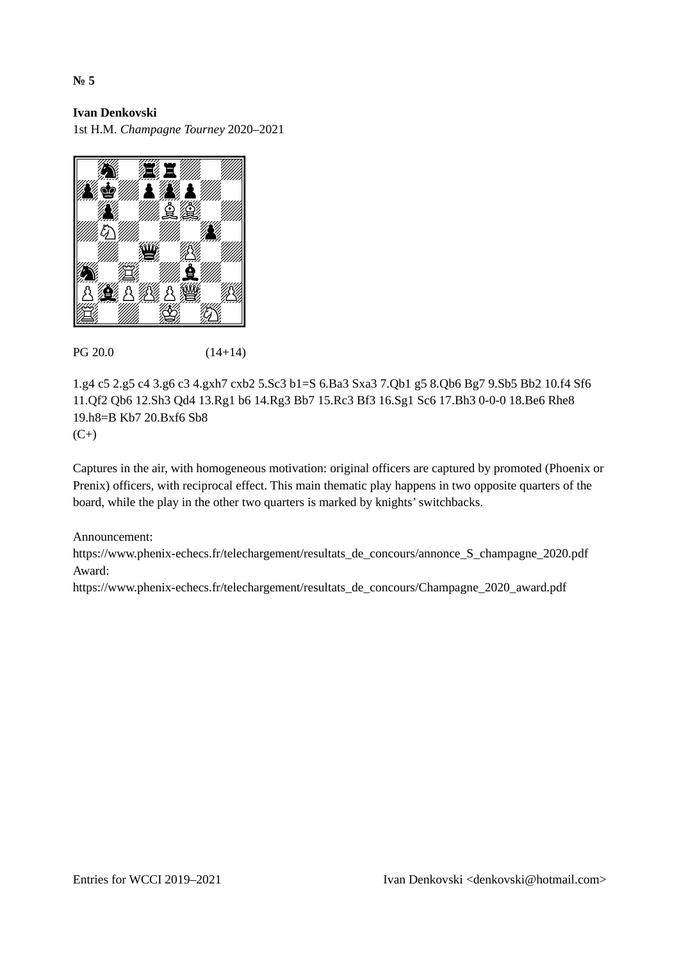1st H.M. *Champagne Tourney* 2020–2021



### PG 20.0 (14+14)

1.g4 c5 2.g5 c4 3.g6 c3 4.gxh7 cxb2 5.Sc3 b1=S 6.Ba3 Sxa3 7.Qb1 g5 8.Qb6 Bg7 9.Sb5 Bb2 10.f4 Sf6 11.Qf2 Qb6 12.Sh3 Qd4 13.Rg1 b6 14.Rg3 Bb7 15.Rc3 Bf3 16.Sg1 Sc6 17.Bh3 0-0-0 18.Be6 Rhe8 19.h8=B Kb7 20.Bxf6 Sb8  $(C<sup>+</sup>)$ 

Captures in the air, with homogeneous motivation: original officers are captured by promoted (Phoenix or Prenix) officers, with reciprocal effect. This main thematic play happens in two opposite quarters of the board, while the play in the other two quarters is marked by knights' switchbacks.

#### Announcement:

https://www.phenix-echecs.fr/telechargement/resultats\_de\_concours/annonce\_S\_champagne\_2020.pdf Award:

https://www.phenix-echecs.fr/telechargement/resultats\_de\_concours/Champagne\_2020\_award.pdf